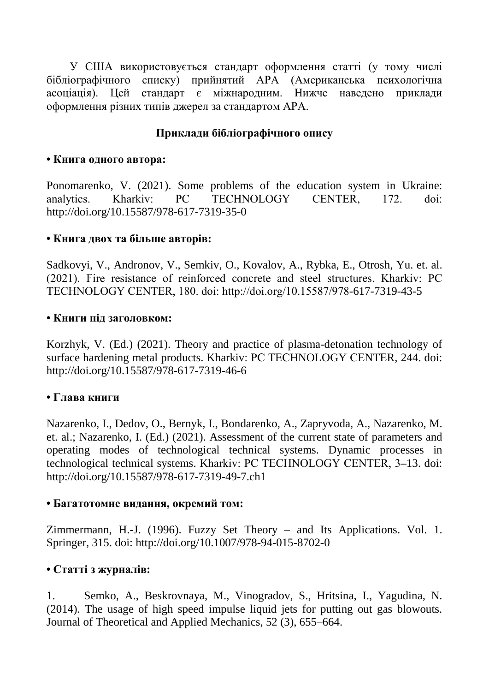У США використовується стандарт оформлення статті (у тому числі бібліографічного списку) прийнятий АРА (Американська психологічна асоціація). Цей стандарт є міжнародним. Нижче наведено приклади оформлення різних типів джерел за стандартом АРА.

### **Приклади бібліографічного опису**

#### **• Книга одного автора:**

Ponomarenko, V. (2021). Some problems of the education system in Ukraine: analytics. Kharkiv: РС ТЕСHNOLOGY СЕNTЕR, 172. doi: http://doi.org/10.15587/978-617-7319-35-0

### **• Книга двох та більше авторів:**

Sadkovyi, V., Andronov, V., Semkiv, O., Kovalov, A., Rybka, E., Otrosh, Yu. et. al. (2021). Fire resistance of reinforced concrete and steel structures. Kharkiv: РС ТЕСHNOLOGY СЕNTЕR, 180. doi: http://doi.org/10.15587/978-617-7319-43-5

#### **• Книги під заголовком:**

Korzhyk, V. (Ed.) (2021). Theory and practice of plasma-detonation technology of surface hardening metal products. Kharkiv: РС ТЕСHNOLOGY СЕNTЕR, 244. doi: http://doi.org/10.15587/978-617-7319-46-6

### **• Глава книги**

Nazarenko, I., Dedov, O., Bernyk, I., Bondarenko, A., Zapryvoda, A., Nazarenko, M. et. al.; Nazarenko, I. (Ed.) (2021). Assessment of the current state of parameters and operating modes of technological technical systems. Dynamic processes in technological technical systems. Kharkiv: РС ТЕСHNOLOGY СЕNTЕR, 3–13. doi: http://doi.org/10.15587/978-617-7319-49-7.ch1

#### **• Багатотомне видання, окремий том:**

Zimmermann, H.-J. (1996). Fuzzy Set Theory – and Its Applications. Vol. 1. Springer, 315. doi: http://doi.org/10.1007/978-94-015-8702-0

### **• Статті з журналів:**

1. Semko, A., Beskrovnaya, M., Vinogradov, S., Hritsina, I., Yagudina, N. (2014). The usage of high speed impulse liquid jets for putting out gas blowouts. Journal of Theoretical and Applied Mechanics, 52 (3), 655–664.